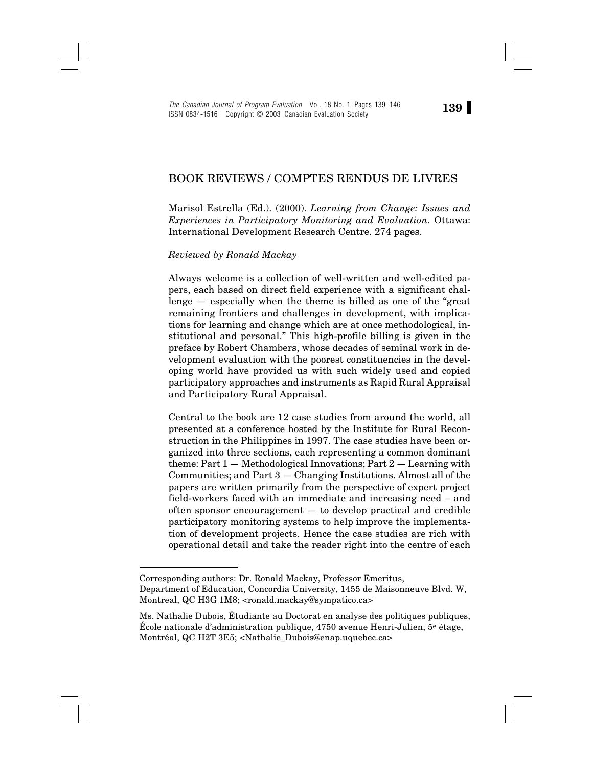The Canadian Journal of Program Evaluation Vol. 18 No. 1 Pages 139–146<br>LISSN 0824-1516 - Convright © 2003, Canadian Evaluation Society ISSN 0834-1516 Copyright © 2003 Canadian Evaluation Society

## BOOK REVIEWS / COMPTES RENDUS DE LIVRES

Marisol Estrella (Ed.). (2000). *Learning from Change: Issues and Experiences in Participatory Monitoring and Evaluation*. Ottawa: International Development Research Centre. 274 pages.

*Reviewed by Ronald Mackay*

Always welcome is a collection of well-written and well-edited papers, each based on direct field experience with a significant challenge — especially when the theme is billed as one of the "great remaining frontiers and challenges in development, with implications for learning and change which are at once methodological, institutional and personal." This high-profile billing is given in the preface by Robert Chambers, whose decades of seminal work in development evaluation with the poorest constituencies in the developing world have provided us with such widely used and copied participatory approaches and instruments as Rapid Rural Appraisal and Participatory Rural Appraisal.

Central to the book are 12 case studies from around the world, all presented at a conference hosted by the Institute for Rural Reconstruction in the Philippines in 1997. The case studies have been organized into three sections, each representing a common dominant theme:  $Part 1 - Methodological \text{ Innovations}; Part 2 - Learning with$ Communities; and Part 3 — Changing Institutions. Almost all of the papers are written primarily from the perspective of expert project field-workers faced with an immediate and increasing need – and often sponsor encouragement — to develop practical and credible participatory monitoring systems to help improve the implementation of development projects. Hence the case studies are rich with operational detail and take the reader right into the centre of each

Corresponding authors: Dr. Ronald Mackay, Professor Emeritus, Department of Education, Concordia University, 1455 de Maisonneuve Blvd. W, Montreal, QC H3G 1M8; <ronald.mackay@sympatico.ca>

Ms. Nathalie Dubois, Étudiante au Doctorat en analyse des politiques publiques, École nationale d'administration publique, 4750 avenue Henri-Julien, 5e étage, Montréal, QC H2T 3E5; <Nathalie\_Dubois@enap.uquebec.ca>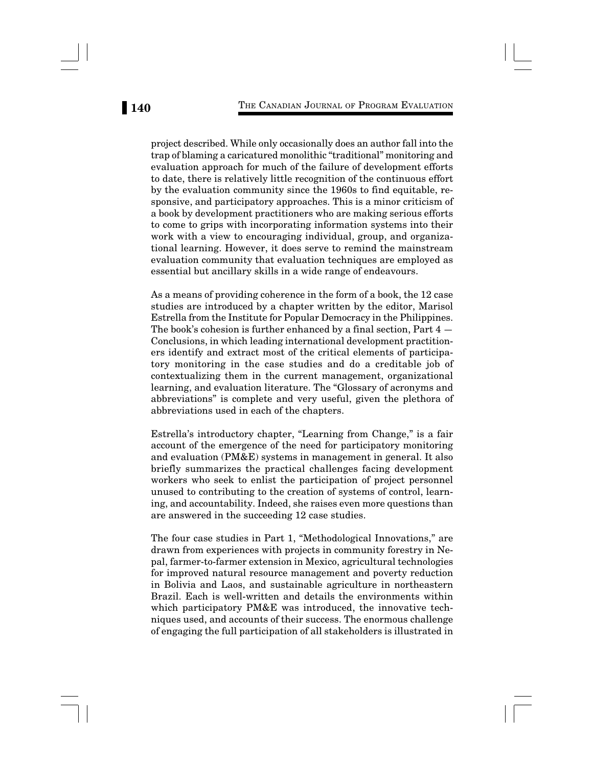project described. While only occasionally does an author fall into the trap of blaming a caricatured monolithic "traditional" monitoring and evaluation approach for much of the failure of development efforts to date, there is relatively little recognition of the continuous effort by the evaluation community since the 1960s to find equitable, responsive, and participatory approaches. This is a minor criticism of a book by development practitioners who are making serious efforts to come to grips with incorporating information systems into their work with a view to encouraging individual, group, and organizational learning. However, it does serve to remind the mainstream evaluation community that evaluation techniques are employed as essential but ancillary skills in a wide range of endeavours.

As a means of providing coherence in the form of a book, the 12 case studies are introduced by a chapter written by the editor, Marisol Estrella from the Institute for Popular Democracy in the Philippines. The book's cohesion is further enhanced by a final section, Part 4 — Conclusions, in which leading international development practitioners identify and extract most of the critical elements of participatory monitoring in the case studies and do a creditable job of contextualizing them in the current management, organizational learning, and evaluation literature. The "Glossary of acronyms and abbreviations" is complete and very useful, given the plethora of abbreviations used in each of the chapters.

Estrella's introductory chapter, "Learning from Change," is a fair account of the emergence of the need for participatory monitoring and evaluation (PM&E) systems in management in general. It also briefly summarizes the practical challenges facing development workers who seek to enlist the participation of project personnel unused to contributing to the creation of systems of control, learning, and accountability. Indeed, she raises even more questions than are answered in the succeeding 12 case studies.

The four case studies in Part 1, "Methodological Innovations," are drawn from experiences with projects in community forestry in Nepal, farmer-to-farmer extension in Mexico, agricultural technologies for improved natural resource management and poverty reduction in Bolivia and Laos, and sustainable agriculture in northeastern Brazil. Each is well-written and details the environments within which participatory PM&E was introduced, the innovative techniques used, and accounts of their success. The enormous challenge of engaging the full participation of all stakeholders is illustrated in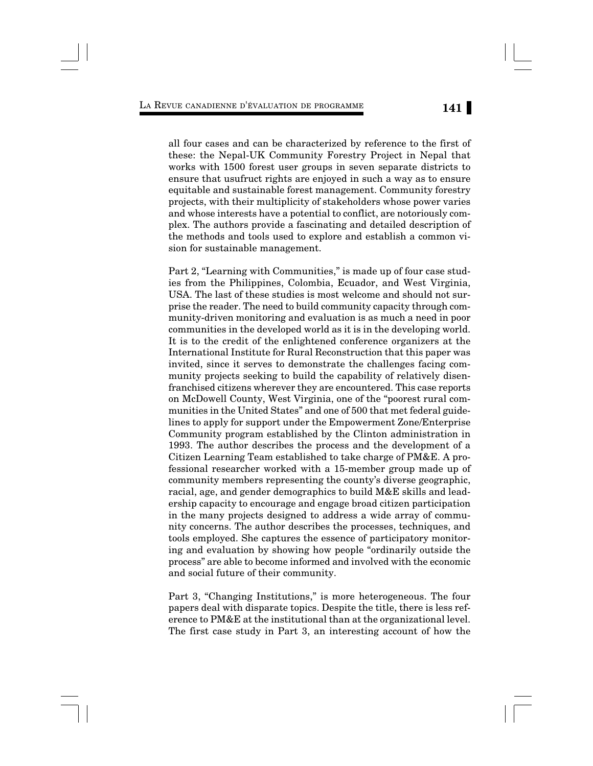## LA REVUE CANADIENNE <sup>D</sup>'ÉVALUATION DE PROGRAMME **141**

all four cases and can be characterized by reference to the first of these: the Nepal-UK Community Forestry Project in Nepal that works with 1500 forest user groups in seven separate districts to ensure that usufruct rights are enjoyed in such a way as to ensure equitable and sustainable forest management. Community forestry projects, with their multiplicity of stakeholders whose power varies and whose interests have a potential to conflict, are notoriously complex. The authors provide a fascinating and detailed description of the methods and tools used to explore and establish a common vision for sustainable management.

Part 2, "Learning with Communities," is made up of four case studies from the Philippines, Colombia, Ecuador, and West Virginia, USA. The last of these studies is most welcome and should not surprise the reader. The need to build community capacity through community-driven monitoring and evaluation is as much a need in poor communities in the developed world as it is in the developing world. It is to the credit of the enlightened conference organizers at the International Institute for Rural Reconstruction that this paper was invited, since it serves to demonstrate the challenges facing community projects seeking to build the capability of relatively disenfranchised citizens wherever they are encountered. This case reports on McDowell County, West Virginia, one of the "poorest rural communities in the United States" and one of 500 that met federal guidelines to apply for support under the Empowerment Zone/Enterprise Community program established by the Clinton administration in 1993. The author describes the process and the development of a Citizen Learning Team established to take charge of PM&E. A professional researcher worked with a 15-member group made up of community members representing the county's diverse geographic, racial, age, and gender demographics to build M&E skills and leadership capacity to encourage and engage broad citizen participation in the many projects designed to address a wide array of community concerns. The author describes the processes, techniques, and tools employed. She captures the essence of participatory monitoring and evaluation by showing how people "ordinarily outside the process" are able to become informed and involved with the economic and social future of their community.

Part 3, "Changing Institutions," is more heterogeneous. The four papers deal with disparate topics. Despite the title, there is less reference to PM&E at the institutional than at the organizational level. The first case study in Part 3, an interesting account of how the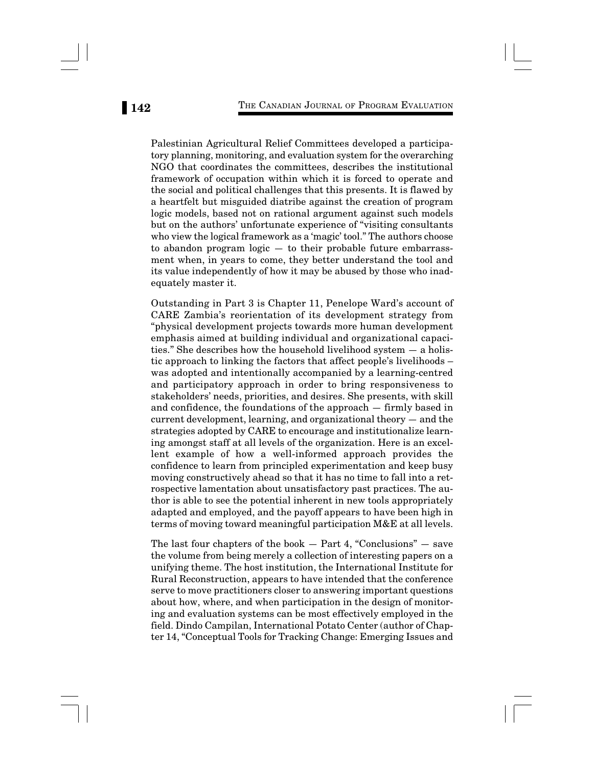Palestinian Agricultural Relief Committees developed a participatory planning, monitoring, and evaluation system for the overarching NGO that coordinates the committees, describes the institutional framework of occupation within which it is forced to operate and the social and political challenges that this presents. It is flawed by a heartfelt but misguided diatribe against the creation of program logic models, based not on rational argument against such models but on the authors' unfortunate experience of "visiting consultants who view the logical framework as a 'magic' tool." The authors choose to abandon program logic — to their probable future embarrassment when, in years to come, they better understand the tool and its value independently of how it may be abused by those who inadequately master it.

Outstanding in Part 3 is Chapter 11, Penelope Ward's account of CARE Zambia's reorientation of its development strategy from "physical development projects towards more human development emphasis aimed at building individual and organizational capacities." She describes how the household livelihood system — a holistic approach to linking the factors that affect people's livelihoods – was adopted and intentionally accompanied by a learning-centred and participatory approach in order to bring responsiveness to stakeholders' needs, priorities, and desires. She presents, with skill and confidence, the foundations of the approach — firmly based in current development, learning, and organizational theory — and the strategies adopted by CARE to encourage and institutionalize learning amongst staff at all levels of the organization. Here is an excellent example of how a well-informed approach provides the confidence to learn from principled experimentation and keep busy moving constructively ahead so that it has no time to fall into a retrospective lamentation about unsatisfactory past practices. The author is able to see the potential inherent in new tools appropriately adapted and employed, and the payoff appears to have been high in terms of moving toward meaningful participation M&E at all levels.

The last four chapters of the book  $-$  Part 4, "Conclusions"  $-$  save the volume from being merely a collection of interesting papers on a unifying theme. The host institution, the International Institute for Rural Reconstruction, appears to have intended that the conference serve to move practitioners closer to answering important questions about how, where, and when participation in the design of monitoring and evaluation systems can be most effectively employed in the field. Dindo Campilan, International Potato Center (author of Chapter 14, "Conceptual Tools for Tracking Change: Emerging Issues and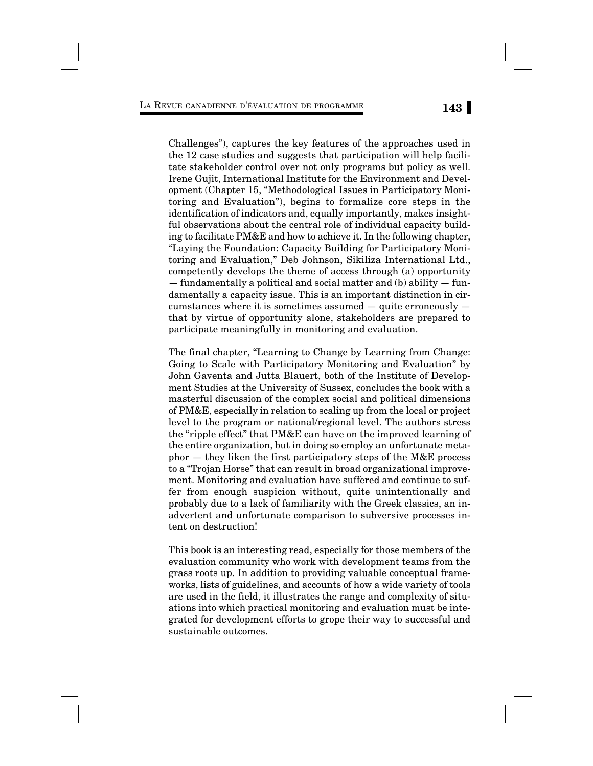LA REVUE CANADIENNE <sup>D</sup>'ÉVALUATION DE PROGRAMME **143**

Challenges"), captures the key features of the approaches used in the 12 case studies and suggests that participation will help facilitate stakeholder control over not only programs but policy as well. Irene Gujit, International Institute for the Environment and Development (Chapter 15, "Methodological Issues in Participatory Monitoring and Evaluation"), begins to formalize core steps in the identification of indicators and, equally importantly, makes insightful observations about the central role of individual capacity building to facilitate PM&E and how to achieve it. In the following chapter, "Laying the Foundation: Capacity Building for Participatory Monitoring and Evaluation," Deb Johnson, Sikiliza International Ltd., competently develops the theme of access through (a) opportunity  $-$  fundamentally a political and social matter and (b) ability  $-$  fundamentally a capacity issue. This is an important distinction in circumstances where it is sometimes assumed — quite erroneously that by virtue of opportunity alone, stakeholders are prepared to participate meaningfully in monitoring and evaluation.

The final chapter, "Learning to Change by Learning from Change: Going to Scale with Participatory Monitoring and Evaluation" by John Gaventa and Jutta Blauert, both of the Institute of Development Studies at the University of Sussex, concludes the book with a masterful discussion of the complex social and political dimensions of PM&E, especially in relation to scaling up from the local or project level to the program or national/regional level. The authors stress the "ripple effect" that PM&E can have on the improved learning of the entire organization, but in doing so employ an unfortunate metaphor — they liken the first participatory steps of the M&E process to a "Trojan Horse" that can result in broad organizational improvement. Monitoring and evaluation have suffered and continue to suffer from enough suspicion without, quite unintentionally and probably due to a lack of familiarity with the Greek classics, an inadvertent and unfortunate comparison to subversive processes intent on destruction!

This book is an interesting read, especially for those members of the evaluation community who work with development teams from the grass roots up. In addition to providing valuable conceptual frameworks, lists of guidelines, and accounts of how a wide variety of tools are used in the field, it illustrates the range and complexity of situations into which practical monitoring and evaluation must be integrated for development efforts to grope their way to successful and sustainable outcomes.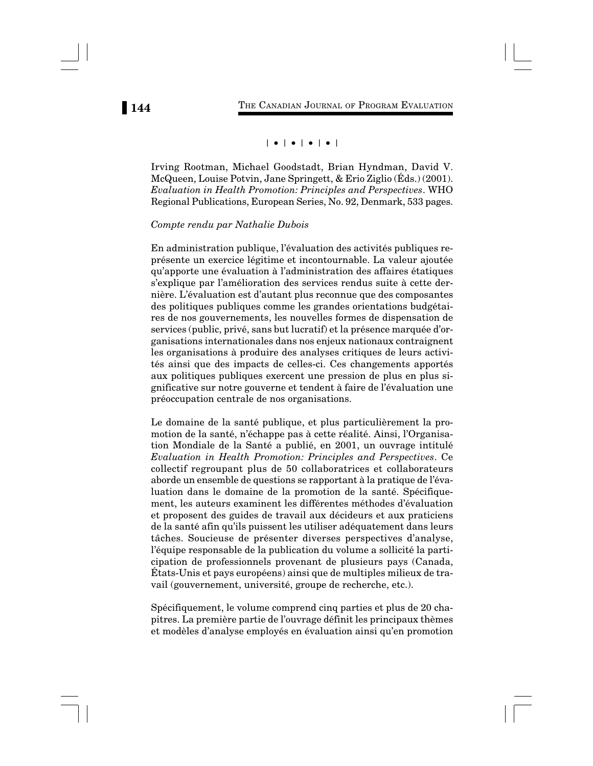# | • | • | • | • |

Irving Rootman, Michael Goodstadt, Brian Hyndman, David V. McQueen, Louise Potvin, Jane Springett, & Erio Ziglio (Éds.) (2001). *Evaluation in Health Promotion: Principles and Perspectives*. WHO Regional Publications, European Series, No. 92, Denmark, 533 pages.

### *Compte rendu par Nathalie Dubois*

En administration publique, l'évaluation des activités publiques représente un exercice légitime et incontournable. La valeur ajoutée qu'apporte une évaluation à l'administration des affaires étatiques s'explique par l'amélioration des services rendus suite à cette dernière. L'évaluation est d'autant plus reconnue que des composantes des politiques publiques comme les grandes orientations budgétaires de nos gouvernements, les nouvelles formes de dispensation de services (public, privé, sans but lucratif) et la présence marquée d'organisations internationales dans nos enjeux nationaux contraignent les organisations à produire des analyses critiques de leurs activités ainsi que des impacts de celles-ci. Ces changements apportés aux politiques publiques exercent une pression de plus en plus significative sur notre gouverne et tendent à faire de l'évaluation une préoccupation centrale de nos organisations.

Le domaine de la santé publique, et plus particulièrement la promotion de la santé, n'échappe pas à cette réalité. Ainsi, l'Organisation Mondiale de la Santé a publié, en 2001, un ouvrage intitulé *Evaluation in Health Promotion: Principles and Perspectives*. Ce collectif regroupant plus de 50 collaboratrices et collaborateurs aborde un ensemble de questions se rapportant à la pratique de l'évaluation dans le domaine de la promotion de la santé. Spécifiquement, les auteurs examinent les différentes méthodes d'évaluation et proposent des guides de travail aux décideurs et aux praticiens de la santé afin qu'ils puissent les utiliser adéquatement dans leurs tâches. Soucieuse de présenter diverses perspectives d'analyse, l'équipe responsable de la publication du volume a sollicité la participation de professionnels provenant de plusieurs pays (Canada, États-Unis et pays européens) ainsi que de multiples milieux de travail (gouvernement, université, groupe de recherche, etc.).

Spécifiquement, le volume comprend cinq parties et plus de 20 chapitres. La première partie de l'ouvrage définit les principaux thèmes et modèles d'analyse employés en évaluation ainsi qu'en promotion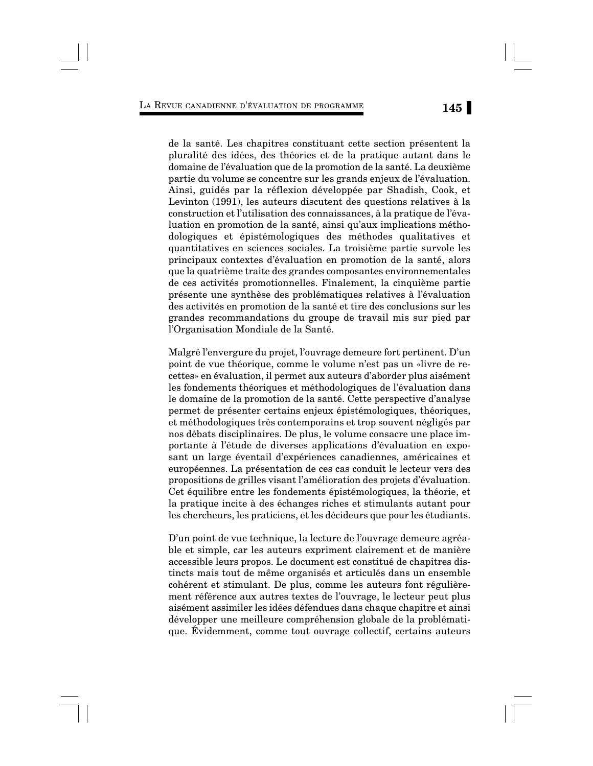## LA REVUE CANADIENNE <sup>D</sup>'ÉVALUATION DE PROGRAMME **145**

de la santé. Les chapitres constituant cette section présentent la pluralité des idées, des théories et de la pratique autant dans le domaine de l'évaluation que de la promotion de la santé. La deuxième partie du volume se concentre sur les grands enjeux de l'évaluation. Ainsi, guidés par la réflexion développée par Shadish, Cook, et Levinton (1991), les auteurs discutent des questions relatives à la construction et l'utilisation des connaissances, à la pratique de l'évaluation en promotion de la santé, ainsi qu'aux implications méthodologiques et épistémologiques des méthodes qualitatives et quantitatives en sciences sociales. La troisième partie survole les principaux contextes d'évaluation en promotion de la santé, alors que la quatrième traite des grandes composantes environnementales de ces activités promotionnelles. Finalement, la cinquième partie présente une synthèse des problématiques relatives à l'évaluation des activités en promotion de la santé et tire des conclusions sur les grandes recommandations du groupe de travail mis sur pied par l'Organisation Mondiale de la Santé.

Malgré l'envergure du projet, l'ouvrage demeure fort pertinent. D'un point de vue théorique, comme le volume n'est pas un «livre de recettes» en évaluation, il permet aux auteurs d'aborder plus aisément les fondements théoriques et méthodologiques de l'évaluation dans le domaine de la promotion de la santé. Cette perspective d'analyse permet de présenter certains enjeux épistémologiques, théoriques, et méthodologiques très contemporains et trop souvent négligés par nos débats disciplinaires. De plus, le volume consacre une place importante à l'étude de diverses applications d'évaluation en exposant un large éventail d'expériences canadiennes, américaines et européennes. La présentation de ces cas conduit le lecteur vers des propositions de grilles visant l'amélioration des projets d'évaluation. Cet équilibre entre les fondements épistémologiques, la théorie, et la pratique incite à des échanges riches et stimulants autant pour les chercheurs, les praticiens, et les décideurs que pour les étudiants.

D'un point de vue technique, la lecture de l'ouvrage demeure agréable et simple, car les auteurs expriment clairement et de manière accessible leurs propos. Le document est constitué de chapitres distincts mais tout de même organisés et articulés dans un ensemble cohérent et stimulant. De plus, comme les auteurs font régulièrement référence aux autres textes de l'ouvrage, le lecteur peut plus aisément assimiler les idées défendues dans chaque chapitre et ainsi développer une meilleure compréhension globale de la problématique. Évidemment, comme tout ouvrage collectif, certains auteurs